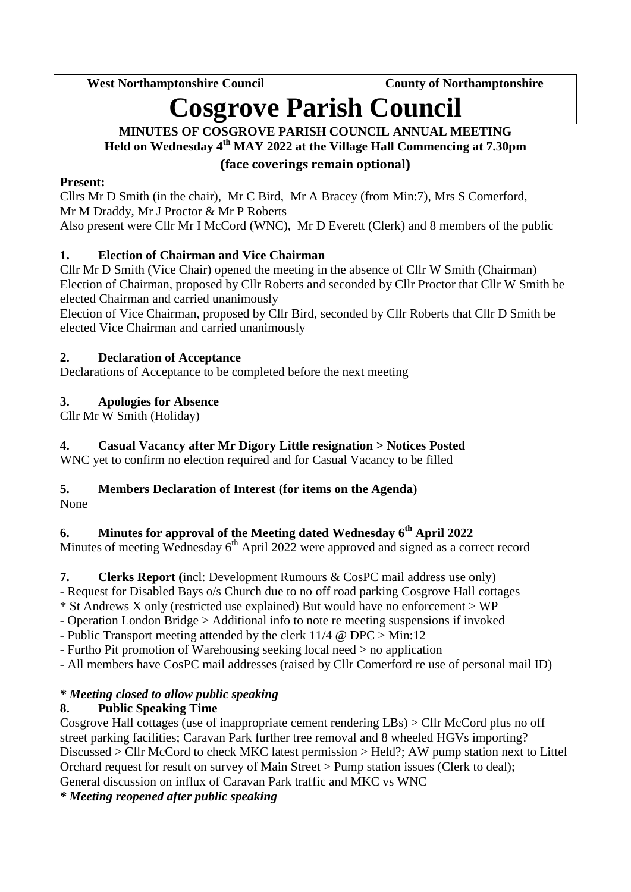West Northamptonshire Council **County County of Northamptonshire** 

# **Cosgrove Parish Council**

## **MINUTES OF COSGROVE PARISH COUNCIL ANNUAL MEETING Held on Wednesday 4 th MAY 2022 at the Village Hall Commencing at 7.30pm (face coverings remain optional)**

## **Present:**

Cllrs Mr D Smith (in the chair), Mr C Bird, Mr A Bracey (from Min:7), Mrs S Comerford, Mr M Draddy, Mr J Proctor & Mr P Roberts Also present were Cllr Mr I McCord (WNC), Mr D Everett (Clerk) and 8 members of the public

# **1. Election of Chairman and Vice Chairman**

Cllr Mr D Smith (Vice Chair) opened the meeting in the absence of Cllr W Smith (Chairman) Election of Chairman, proposed by Cllr Roberts and seconded by Cllr Proctor that Cllr W Smith be elected Chairman and carried unanimously

Election of Vice Chairman, proposed by Cllr Bird, seconded by Cllr Roberts that Cllr D Smith be elected Vice Chairman and carried unanimously

## **2. Declaration of Acceptance**

Declarations of Acceptance to be completed before the next meeting

# **3. Apologies for Absence**

Cllr Mr W Smith (Holiday)

# **4. Casual Vacancy after Mr Digory Little resignation > Notices Posted**

WNC yet to confirm no election required and for Casual Vacancy to be filled

# **5. Members Declaration of Interest (for items on the Agenda)**

None

# **6. Minutes for approval of the Meeting dated Wednesday 6 th April 2022**

Minutes of meeting Wednesday 6<sup>th</sup> April 2022 were approved and signed as a correct record

**7. Clerks Report (**incl: Development Rumours & CosPC mail address use only)

- Request for Disabled Bays o/s Church due to no off road parking Cosgrove Hall cottages

\* St Andrews X only (restricted use explained) But would have no enforcement > WP

- Operation London Bridge > Additional info to note re meeting suspensions if invoked

- Public Transport meeting attended by the clerk 11/4 @ DPC > Min:12

- Furtho Pit promotion of Warehousing seeking local need > no application

- All members have CosPC mail addresses (raised by Cllr Comerford re use of personal mail ID)

# *\* Meeting closed to allow public speaking*

# **8. Public Speaking Time**

Cosgrove Hall cottages (use of inappropriate cement rendering LBs) > Cllr McCord plus no off street parking facilities; Caravan Park further tree removal and 8 wheeled HGVs importing? Discussed > Cllr McCord to check MKC latest permission > Held?; AW pump station next to Littel Orchard request for result on survey of Main Street > Pump station issues (Clerk to deal); General discussion on influx of Caravan Park traffic and MKC vs WNC

*\* Meeting reopened after public speaking*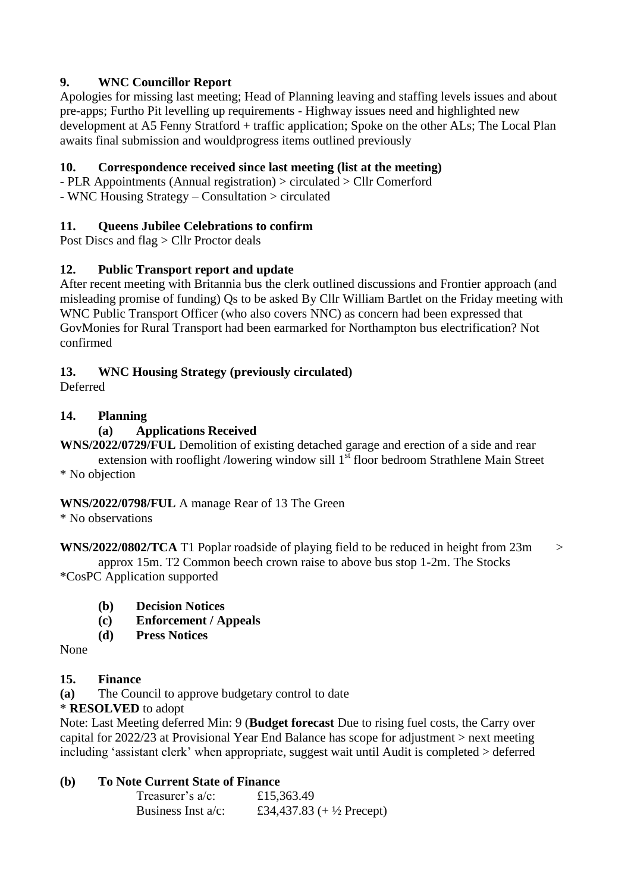## **9. WNC Councillor Report**

Apologies for missing last meeting; Head of Planning leaving and staffing levels issues and about pre-apps; Furtho Pit levelling up requirements - Highway issues need and highlighted new development at A5 Fenny Stratford + traffic application; Spoke on the other ALs; The Local Plan awaits final submission and wouldprogress items outlined previously

## **10. Correspondence received since last meeting (list at the meeting)**

- PLR Appointments (Annual registration) > circulated > Cllr Comerford

- WNC Housing Strategy – Consultation > circulated

#### **11. Queens Jubilee Celebrations to confirm**

Post Discs and flag > Cllr Proctor deals

## **12. Public Transport report and update**

After recent meeting with Britannia bus the clerk outlined discussions and Frontier approach (and misleading promise of funding) Qs to be asked By Cllr William Bartlet on the Friday meeting with WNC Public Transport Officer (who also covers NNC) as concern had been expressed that GovMonies for Rural Transport had been earmarked for Northampton bus electrification? Not confirmed

## **13. WNC Housing Strategy (previously circulated)**

Deferred

## **14. Planning**

## **(a) Applications Received**

**WNS/2022/0729/FUL** Demolition of existing detached garage and erection of a side and rear extension with rooflight /lowering window sill  $1<sup>st</sup>$  floor bedroom Strathlene Main Street \* No objection

#### **WNS/2022/0798/FUL** A manage Rear of 13 The Green

\* No observations

**WNS/2022/0802/TCA** T1 Poplar roadside of playing field to be reduced in height from 23m > approx 15m. T2 Common beech crown raise to above bus stop 1-2m. The Stocks \*CosPC Application supported

- **(b) Decision Notices**
- **(c) Enforcement / Appeals**
- **(d) Press Notices**

None

#### **15. Finance**

**(a)** The Council to approve budgetary control to date

## \* **RESOLVED** to adopt

Note: Last Meeting deferred Min: 9 (**Budget forecast** Due to rising fuel costs, the Carry over capital for 2022/23 at Provisional Year End Balance has scope for adjustment > next meeting including 'assistant clerk' when appropriate, suggest wait until Audit is completed > deferred

#### **(b) To Note Current State of Finance**

| Treasurer's $a/c$ :   | £15,363.49                          |
|-----------------------|-------------------------------------|
| Business Inst $a/c$ : | £34,437.83 $(+\frac{1}{2}$ Precept) |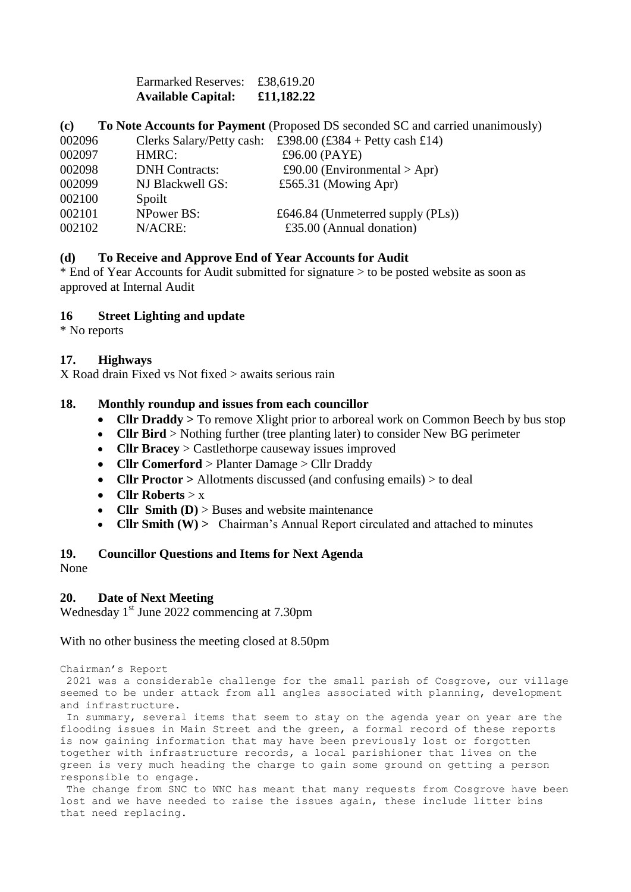Earmarked Reserves: £38,619.20 **Available Capital: £11,182.22**

#### **(c) To Note Accounts for Payment** (Proposed DS seconded SC and carried unanimously)

| 002096 | Clerks Salary/Petty cash: | £398.00 (£384 + Petty cash £14)      |
|--------|---------------------------|--------------------------------------|
| 002097 | HMRC:                     | £96.00 (PAYE)                        |
| 002098 | <b>DNH Contracts:</b>     | £90.00 (Environmental > Apr)         |
| 002099 | NJ Blackwell GS:          | £565.31 (Mowing Apr)                 |
| 002100 | Spoilt                    |                                      |
| 002101 | <b>NPower BS:</b>         | £646.84 (Unmeterred supply $(PLs)$ ) |
| 002102 | N/ACRE:                   | £35.00 (Annual donation)             |

#### **(d) To Receive and Approve End of Year Accounts for Audit**

\* End of Year Accounts for Audit submitted for signature > to be posted website as soon as approved at Internal Audit

#### **16 Street Lighting and update**

\* No reports

#### **17. Highways**

X Road drain Fixed vs Not fixed > awaits serious rain

#### **18. Monthly roundup and issues from each councillor**

- **Cllr Draddy >** To remove Xlight prior to arboreal work on Common Beech by bus stop
- **Cllr Bird** > Nothing further (tree planting later) to consider New BG perimeter
- **Cllr Bracey** > Castlethorpe causeway issues improved
- **Cllr Comerford** > Planter Damage > Cllr Draddy
- **Cllr Proctor** > Allotments discussed (and confusing emails) > to deal
- **Cllr Roberts** > x
- **Cllr Smith (D)** > Buses and website maintenance
- **Cllr Smith (W) >** Chairman's Annual Report circulated and attached to minutes

#### **19. Councillor Questions and Items for Next Agenda**

None

#### **20. Date of Next Meeting**

Wednesday 1<sup>st</sup> June 2022 commencing at 7.30pm

#### With no other business the meeting closed at 8.50pm

Chairman's Report 2021 was a considerable challenge for the small parish of Cosgrove, our village seemed to be under attack from all angles associated with planning, development and infrastructure.

In summary, several items that seem to stay on the agenda year on year are the flooding issues in Main Street and the green, a formal record of these reports is now gaining information that may have been previously lost or forgotten together with infrastructure records, a local parishioner that lives on the green is very much heading the charge to gain some ground on getting a person responsible to engage.

The change from SNC to WNC has meant that many requests from Cosgrove have been lost and we have needed to raise the issues again, these include litter bins that need replacing.